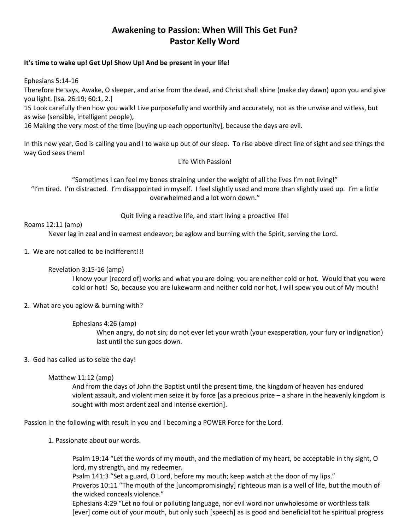# **Awakening to Passion: When Will This Get Fun? Pastor Kelly Word**

#### **It's time to wake up! Get Up! Show Up! And be present in your life!**

Ephesians 5:14-16

Therefore He says, Awake, O sleeper, and arise from the dead, and Christ shall shine (make day dawn) upon you and give you light. [Isa. 26:19; 60:1, 2.]

15 Look carefully then how you walk! Live purposefully and worthily and accurately, not as the unwise and witless, but as wise (sensible, intelligent people),

16 Making the very most of the time [buying up each opportunity], because the days are evil.

In this new year, God is calling you and I to wake up out of our sleep. To rise above direct line of sight and see things the way God sees them!

Life With Passion!

"Sometimes I can feel my bones straining under the weight of all the lives I'm not living!" "I'm tired. I'm distracted. I'm disappointed in myself. I feel slightly used and more than slightly used up. I'm a little overwhelmed and a lot worn down."

Quit living a reactive life, and start living a proactive life!

## Roams 12:11 (amp)

Never lag in zeal and in earnest endeavor; be aglow and burning with the Spirit, serving the Lord.

1. We are not called to be indifferent!!!

## Revelation 3:15-16 (amp)

I know your [record of] works and what you are doing; you are neither cold or hot. Would that you were cold or hot! So, because you are lukewarm and neither cold nor hot, I will spew you out of My mouth!

## 2. What are you aglow & burning with?

Ephesians 4:26 (amp)

When angry, do not sin; do not ever let your wrath (your exasperation, your fury or indignation) last until the sun goes down.

## 3. God has called us to seize the day!

## Matthew 11:12 (amp)

And from the days of John the Baptist until the present time, the kingdom of heaven has endured violent assault, and violent men seize it by force [as a precious prize – a share in the heavenly kingdom is sought with most ardent zeal and intense exertion].

Passion in the following with result in you and I becoming a POWER Force for the Lord.

1. Passionate about our words.

Psalm 19:14 "Let the words of my mouth, and the mediation of my heart, be acceptable in thy sight, O lord, my strength, and my redeemer.

Psalm 141:3 "Set a guard, O Lord, before my mouth; keep watch at the door of my lips."

Proverbs 10:11 "The mouth of the [uncompromisingly] righteous man is a well of life, but the mouth of the wicked conceals violence."

Ephesians 4:29 "Let no foul or polluting language, nor evil word nor unwholesome or worthless talk [ever] come out of your mouth, but only such [speech] as is good and beneficial tot he spiritual progress